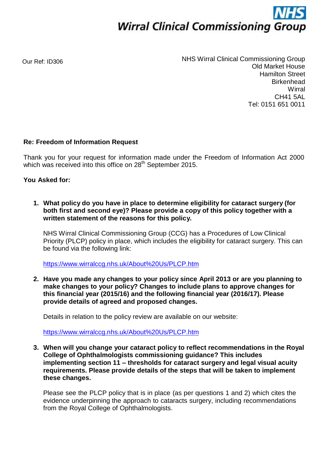

Our Ref: ID306

NHS Wirral Clinical Commissioning Group Old Market House Hamilton Street **Birkenhead Wirral** CH41 5AL Tel: 0151 651 0011

## **Re: Freedom of Information Request**

Thank you for your request for information made under the Freedom of Information Act 2000 which was received into this office on 28<sup>th</sup> September 2015.

## **You Asked for:**

**1. What policy do you have in place to determine eligibility for cataract surgery (for both first and second eye)? Please provide a copy of this policy together with a written statement of the reasons for this policy.**

NHS Wirral Clinical Commissioning Group (CCG) has a Procedures of Low Clinical Priority (PLCP) policy in place, which includes the eligibility for cataract surgery. This can be found via the following link:

<https://www.wirralccg.nhs.uk/About%20Us/PLCP.htm>

**2. Have you made any changes to your policy since April 2013 or are you planning to make changes to your policy? Changes to include plans to approve changes for this financial year (2015/16) and the following financial year (2016/17). Please provide details of agreed and proposed changes.**

Details in relation to the policy review are available on our website:

<https://www.wirralccg.nhs.uk/About%20Us/PLCP.htm>

**3. When will you change your cataract policy to reflect recommendations in the Royal College of Ophthalmologists commissioning guidance? This includes implementing section 11 – thresholds for cataract surgery and legal visual acuity requirements. Please provide details of the steps that will be taken to implement these changes.**

Please see the PLCP policy that is in place (as per questions 1 and 2) which cites the evidence underpinning the approach to cataracts surgery, including recommendations from the Royal College of Ophthalmologists.